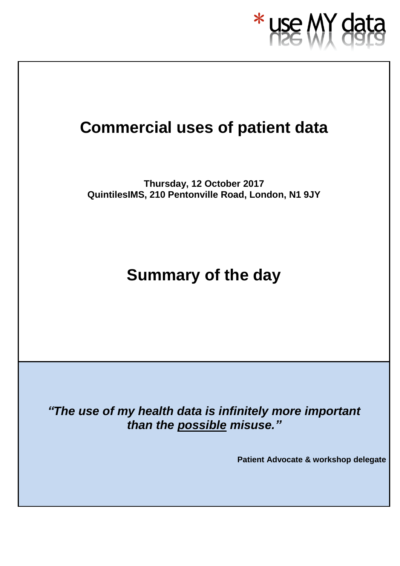

## **Commercial uses of patient data**

**Thursday, 12 October 2017 QuintilesIMS, 210 Pentonville Road, London, N1 9JY**

## **Summary of the day**

*"The use of my health data is infinitely more important than the possible misuse."*

**Patient Advocate & workshop delegate**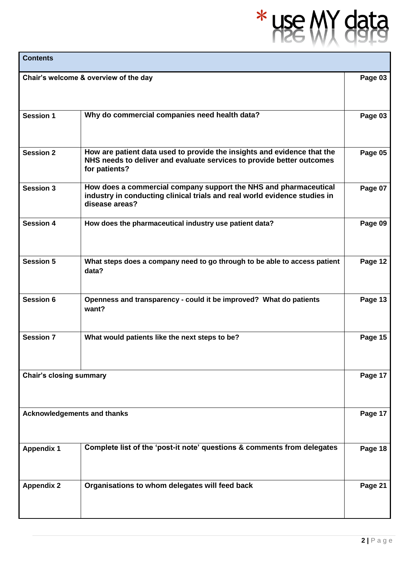# $*$  use  $/$ **Y** data

| <b>Contents</b>                    |                                                                                                                                                                   |         |
|------------------------------------|-------------------------------------------------------------------------------------------------------------------------------------------------------------------|---------|
|                                    | Chair's welcome & overview of the day                                                                                                                             | Page 03 |
| <b>Session 1</b>                   | Why do commercial companies need health data?                                                                                                                     | Page 03 |
| <b>Session 2</b>                   | How are patient data used to provide the insights and evidence that the<br>NHS needs to deliver and evaluate services to provide better outcomes<br>for patients? | Page 05 |
| <b>Session 3</b>                   | How does a commercial company support the NHS and pharmaceutical<br>industry in conducting clinical trials and real world evidence studies in<br>disease areas?   | Page 07 |
| <b>Session 4</b>                   | How does the pharmaceutical industry use patient data?                                                                                                            | Page 09 |
| <b>Session 5</b>                   | What steps does a company need to go through to be able to access patient<br>data?                                                                                | Page 12 |
| <b>Session 6</b>                   | Openness and transparency - could it be improved? What do patients<br>want?                                                                                       | Page 13 |
| <b>Session 7</b>                   | What would patients like the next steps to be?                                                                                                                    | Page 15 |
| <b>Chair's closing summary</b>     |                                                                                                                                                                   | Page 17 |
| <b>Acknowledgements and thanks</b> |                                                                                                                                                                   | Page 17 |
| <b>Appendix 1</b>                  | Complete list of the 'post-it note' questions & comments from delegates                                                                                           | Page 18 |
| <b>Appendix 2</b>                  | Organisations to whom delegates will feed back                                                                                                                    | Page 21 |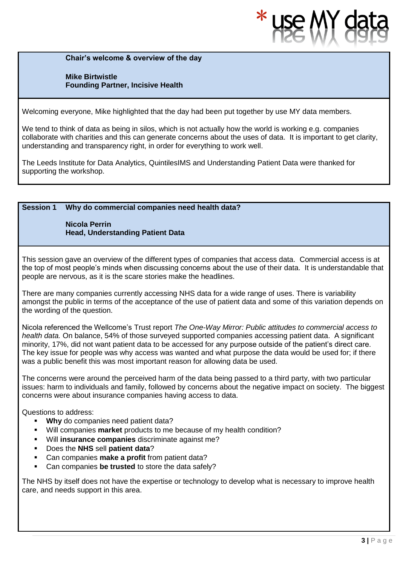**Chair's welcome & overview of the day**

**Mike Birtwistle Founding Partner, Incisive Health** 

Welcoming everyone, Mike highlighted that the day had been put together by use MY data members.

We tend to think of data as being in silos, which is not actually how the world is working e.g. companies collaborate with charities and this can generate concerns about the uses of data. It is important to get clarity, understanding and transparency right, in order for everything to work well.

The Leeds Institute for Data Analytics, QuintilesIMS and Understanding Patient Data were thanked for supporting the workshop.

#### **Session 1 Why do commercial companies need health data?**

**Nicola Perrin Head, Understanding Patient Data**

This session gave an overview of the different types of companies that access data. Commercial access is at the top of most people's minds when discussing concerns about the use of their data. It is understandable that people are nervous, as it is the scare stories make the headlines.

There are many companies currently accessing NHS data for a wide range of uses. There is variability amongst the public in terms of the acceptance of the use of patient data and some of this variation depends on the wording of the question.

Nicola referenced the Wellcome's Trust report *The One-Way Mirror: Public attitudes to commercial access to health data.* On balance, 54% of those surveyed supported companies accessing patient data. A significant minority, 17%, did not want patient data to be accessed for any purpose outside of the patient's direct care. The key issue for people was why access was wanted and what purpose the data would be used for; if there was a public benefit this was most important reason for allowing data be used.

The concerns were around the perceived harm of the data being passed to a third party, with two particular issues: harm to individuals and family, followed by concerns about the negative impact on society. The biggest concerns were about insurance companies having access to data.

Questions to address:

- **Why** do companies need patient data?
- Will companies **market** products to me because of my health condition?
- Will **insurance companies** discriminate against me?
- Does the **NHS** sell **patient data**?
- Can companies **make a profit** from patient data?
- Can companies be trusted to store the data safely?

The NHS by itself does not have the expertise or technology to develop what is necessary to improve health care, and needs support in this area.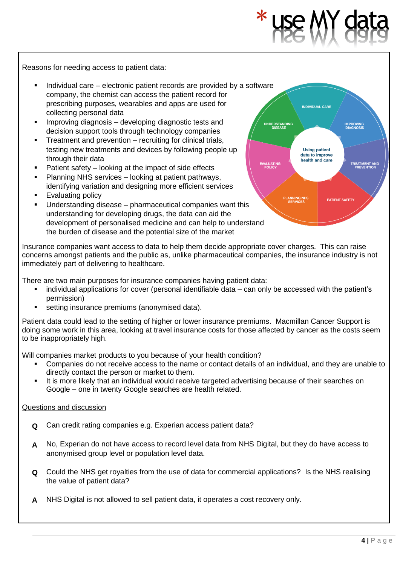**INDIVIDUAL CARI** 

**Using patient** data to improve health and care

**EATMENT AND**<br>PREVENTION

**PATIENT SAFET** 

**IDERSTANDIN**<br>DISEASE

EVALUATING<br>POLICY

Reasons for needing access to patient data:

- Individual care electronic patient records are provided by a software company, the chemist can access the patient record for prescribing purposes, wearables and apps are used for collecting personal data
- Improving diagnosis developing diagnostic tests and decision support tools through technology companies
- Treatment and prevention recruiting for clinical trials, testing new treatments and devices by following people up through their data
- Patient safety  $-$  looking at the impact of side effects
- Planning NHS services looking at patient pathways, identifying variation and designing more efficient services
- **Evaluating policy**
- Understanding disease  $-$  pharmaceutical companies want this understanding for developing drugs, the data can aid the development of personalised medicine and can help to understand the burden of disease and the potential size of the market

Insurance companies want access to data to help them decide appropriate cover charges. This can raise concerns amongst patients and the public as, unlike pharmaceutical companies, the insurance industry is not immediately part of delivering to healthcare.

There are two main purposes for insurance companies having patient data:

- individual applications for cover (personal identifiable data can only be accessed with the patient's permission)
- setting insurance premiums (anonymised data).

Patient data could lead to the setting of higher or lower insurance premiums. Macmillan Cancer Support is doing some work in this area, looking at travel insurance costs for those affected by cancer as the costs seem to be inappropriately high.

Will companies market products to you because of your health condition?

- Companies do not receive access to the name or contact details of an individual, and they are unable to directly contact the person or market to them.
- **.** It is more likely that an individual would receive targeted advertising because of their searches on Google – one in twenty Google searches are health related.

- **Q** Can credit rating companies e.g. Experian access patient data?
- **A** No, Experian do not have access to record level data from NHS Digital, but they do have access to anonymised group level or population level data.
- **Q** Could the NHS get royalties from the use of data for commercial applications? Is the NHS realising the value of patient data?
- **A** NHS Digital is not allowed to sell patient data, it operates a cost recovery only.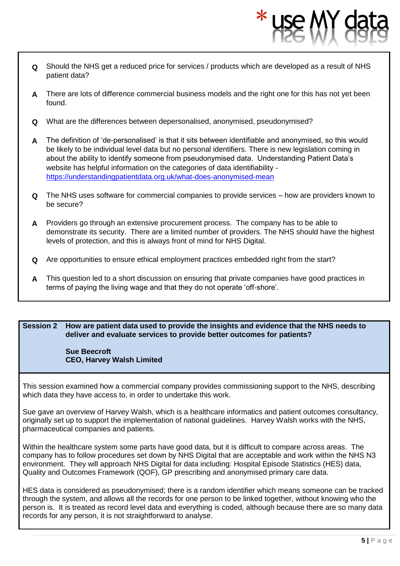- **Q** Should the NHS get a reduced price for services / products which are developed as a result of NHS patient data?
- **A** There are lots of difference commercial business models and the right one for this has not yet been found.
- **Q** What are the differences between depersonalised, anonymised, pseudonymised?
- **A** The definition of 'de-personalised' is that it sits between identifiable and anonymised, so this would be likely to be individual level data but no personal identifiers. There is new legislation coming in about the ability to identify someone from pseudonymised data. Understanding Patient Data's website has helpful information on the categories of data identifiability <https://understandingpatientdata.org.uk/what-does-anonymised-mean>
- **Q** The NHS uses software for commercial companies to provide services – how are providers known to be secure?
- **A** Providers go through an extensive procurement process. The company has to be able to demonstrate its security. There are a limited number of providers. The NHS should have the highest levels of protection, and this is always front of mind for NHS Digital.
- **Q** Are opportunities to ensure ethical employment practices embedded right from the start?
- **A** This question led to a short discussion on ensuring that private companies have good practices in terms of paying the living wage and that they do not operate 'off-shore'.

#### **Session 2 How are patient data used to provide the insights and evidence that the NHS needs to deliver and evaluate services to provide better outcomes for patients?**

#### **Sue Beecroft CEO, Harvey Walsh Limited**

This session examined how a commercial company provides commissioning support to the NHS, describing which data they have access to, in order to undertake this work.

Sue gave an overview of Harvey Walsh, which is a healthcare informatics and patient outcomes consultancy, originally set up to support the implementation of national guidelines. Harvey Walsh works with the NHS, pharmaceutical companies and patients.

Within the healthcare system some parts have good data, but it is difficult to compare across areas. The company has to follow procedures set down by NHS Digital that are acceptable and work within the NHS N3 environment. They will approach NHS Digital for data including: Hospital Episode Statistics (HES) data, Quality and Outcomes Framework (QOF), GP prescribing and anonymised primary care data.

HES data is considered as pseudonymised; there is a random identifier which means someone can be tracked through the system, and allows all the records for one person to be linked together, without knowing who the person is. It is treated as record level data and everything is coded, although because there are so many data records for any person, it is not straightforward to analyse.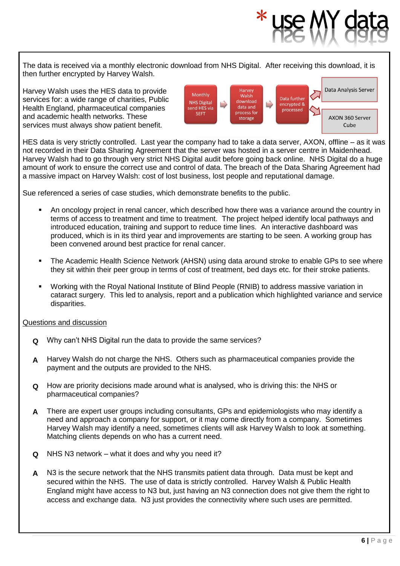The data is received via a monthly electronic download from NHS Digital. After receiving this download, it is then further encrypted by Harvey Walsh.

Harvey Walsh uses the HES data to provide services for: a wide range of charities, Public Health England, pharmaceutical companies and academic health networks. These services must always show patient benefit.



HES data is very strictly controlled. Last year the company had to take a data server, AXON, offline – as it was not recorded in their Data Sharing Agreement that the server was hosted in a server centre in Maidenhead. Harvey Walsh had to go through very strict NHS Digital audit before going back online. NHS Digital do a huge amount of work to ensure the correct use and control of data. The breach of the Data Sharing Agreement had a massive impact on Harvey Walsh: cost of lost business, lost people and reputational damage.

Sue referenced a series of case studies, which demonstrate benefits to the public.

- An oncology project in renal cancer, which described how there was a variance around the country in terms of access to treatment and time to treatment. The project helped identify local pathways and introduced education, training and support to reduce time lines. An interactive dashboard was produced, which is in its third year and improvements are starting to be seen. A working group has been convened around best practice for renal cancer.
- The Academic Health Science Network (AHSN) using data around stroke to enable GPs to see where they sit within their peer group in terms of cost of treatment, bed days etc. for their stroke patients.
- Working with the Royal National Institute of Blind People (RNIB) to address massive variation in cataract surgery. This led to analysis, report and a publication which highlighted variance and service disparities.

- **Q** Why can't NHS Digital run the data to provide the same services?
- **A** Harvey Walsh do not charge the NHS. Others such as pharmaceutical companies provide the payment and the outputs are provided to the NHS.
- **Q** How are priority decisions made around what is analysed, who is driving this: the NHS or pharmaceutical companies?
- **A** There are expert user groups including consultants, GPs and epidemiologists who may identify a need and approach a company for support, or it may come directly from a company. Sometimes Harvey Walsh may identify a need, sometimes clients will ask Harvey Walsh to look at something. Matching clients depends on who has a current need.
- **Q** NHS N3 network – what it does and why you need it?
- **A** N3 is the secure network that the NHS transmits patient data through. Data must be kept and secured within the NHS. The use of data is strictly controlled. Harvey Walsh & Public Health England might have access to N3 but, just having an N3 connection does not give them the right to access and exchange data. N3 just provides the connectivity where such uses are permitted.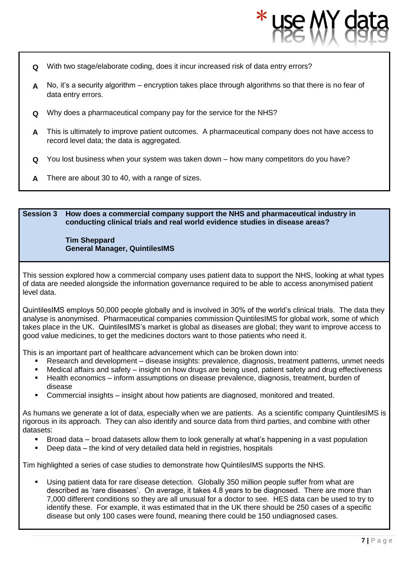- **Q** With two stage/elaborate coding, does it incur increased risk of data entry errors?
- **A** No, it's a security algorithm encryption takes place through algorithms so that there is no fear of data entry errors.
- **Q** Why does a pharmaceutical company pay for the service for the NHS?
- **A** This is ultimately to improve patient outcomes. A pharmaceutical company does not have access to record level data; the data is aggregated.
- **Q** You lost business when your system was taken down – how many competitors do you have?
- **A** There are about 30 to 40, with a range of sizes.

#### **Session 3 How does a commercial company support the NHS and pharmaceutical industry in conducting clinical trials and real world evidence studies in disease areas?**

#### **Tim Sheppard General Manager, QuintilesIMS**

This session explored how a commercial company uses patient data to support the NHS, looking at what types of data are needed alongside the information governance required to be able to access anonymised patient level data.

QuintilesIMS employs 50,000 people globally and is involved in 30% of the world's clinical trials. The data they analyse is anonymised. Pharmaceutical companies commission QuintilesIMS for global work, some of which takes place in the UK. QuintilesIMS's market is global as diseases are global; they want to improve access to good value medicines, to get the medicines doctors want to those patients who need it.

This is an important part of healthcare advancement which can be broken down into:

- Research and development disease insights: prevalence, diagnosis, treatment patterns, unmet needs
- Medical affairs and safety insight on how drugs are being used, patient safety and drug effectiveness
- Health economics inform assumptions on disease prevalence, diagnosis, treatment, burden of disease
- Commercial insights insight about how patients are diagnosed, monitored and treated.

As humans we generate a lot of data, especially when we are patients. As a scientific company QuintilesIMS is rigorous in its approach. They can also identify and source data from third parties, and combine with other datasets:

- Broad data broad datasets allow them to look generally at what's happening in a vast population
- Deep data the kind of very detailed data held in registries, hospitals

Tim highlighted a series of case studies to demonstrate how QuintilesIMS supports the NHS.

Using patient data for rare disease detection. Globally 350 million people suffer from what are described as 'rare diseases'. On average, it takes 4.8 years to be diagnosed. There are more than 7,000 different conditions so they are all unusual for a doctor to see. HES data can be used to try to identify these. For example, it was estimated that in the UK there should be 250 cases of a specific disease but only 100 cases were found, meaning there could be 150 undiagnosed cases.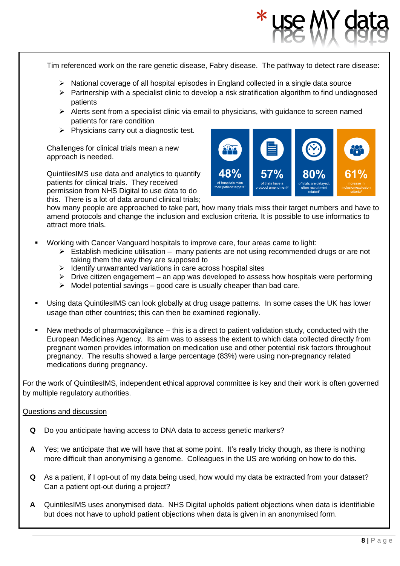Tim referenced work on the rare genetic disease, Fabry disease. The pathway to detect rare disease: ➢ National coverage of all hospital episodes in England collected in a single data source  $\triangleright$  Partnership with a specialist clinic to develop a risk stratification algorithm to find undiagnosed patients ➢ Alerts sent from a specialist clinic via email to physicians, with guidance to screen named patients for rare condition  $\triangleright$  Physicians carry out a diagnostic test. Challenges for clinical trials mean a new approach is needed. 48% QuintilesIMS use data and analytics to quantify patients for clinical trials. They received permission from NHS Digital to use data to do this. There is a lot of data around clinical trials; how many people are approached to take part, how many trials miss their target numbers and have to amend protocols and change the inclusion and exclusion criteria. It is possible to use informatics to attract more trials. Working with Cancer Vanguard hospitals to improve care, four areas came to light:  $\triangleright$  Establish medicine utilisation – many patients are not using recommended drugs or are not taking them the way they are supposed to ➢ Identify unwarranted variations in care across hospital sites  $\triangleright$  Drive citizen engagement – an app was developed to assess how hospitals were performing  $\triangleright$  Model potential savings – good care is usually cheaper than bad care.

- Using data QuintilesIMS can look globally at drug usage patterns. In some cases the UK has lower usage than other countries; this can then be examined regionally.
- New methods of pharmacovigilance  $-$  this is a direct to patient validation study, conducted with the European Medicines Agency. Its aim was to assess the extent to which data collected directly from pregnant women provides information on medication use and other potential risk factors throughout pregnancy. The results showed a large percentage (83%) were using non-pregnancy related medications during pregnancy.

For the work of QuintilesIMS, independent ethical approval committee is key and their work is often governed by multiple regulatory authorities.

- **Q** Do you anticipate having access to DNA data to access genetic markers?
- **A** Yes; we anticipate that we will have that at some point. It's really tricky though, as there is nothing more difficult than anonymising a genome. Colleagues in the US are working on how to do this.
- **Q** As a patient, if I opt-out of my data being used, how would my data be extracted from your dataset? Can a patient opt-out during a project?
- **A** QuintilesIMS uses anonymised data. NHS Digital upholds patient objections when data is identifiable but does not have to uphold patient objections when data is given in an anonymised form.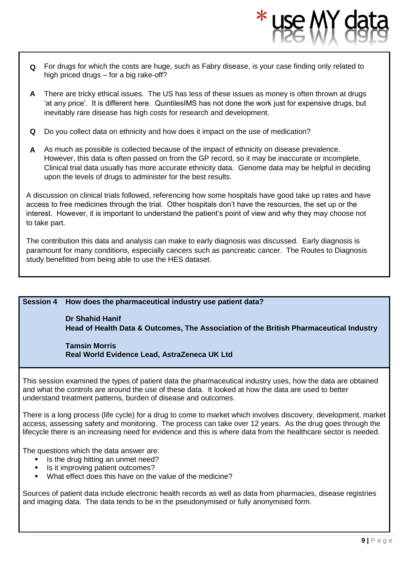- **Q** For drugs for which the costs are huge, such as Fabry disease, is your case finding only related to high priced drugs – for a big rake-off?
- **A** There are tricky ethical issues. The US has less of these issues as money is often thrown at drugs 'at any price'. It is different here. QuintilesIMS has not done the work just for expensive drugs, but inevitably rare disease has high costs for research and development.
- **Q** Do you collect data on ethnicity and how does it impact on the use of medication?
- **A** As much as possible is collected because of the impact of ethnicity on disease prevalence. However, this data is often passed on from the GP record, so it may be inaccurate or incomplete. Clinical trial data usually has more accurate ethnicity data. Genome data may be helpful in deciding upon the levels of drugs to administer for the best results.

A discussion on clinical trials followed, referencing how some hospitals have good take up rates and have access to free medicines through the trial. Other hospitals don't have the resources, the set up or the interest. However, it is important to understand the patient's point of view and why they may choose not to take part.

The contribution this data and analysis can make to early diagnosis was discussed. Early diagnosis is paramount for many conditions, especially cancers such as pancreatic cancer. The Routes to Diagnosis study benefitted from being able to use the HES dataset.

#### **Session 4 How does the pharmaceutical industry use patient data?**

### **Dr Shahid Hanif Head of Health Data & Outcomes, The Association of the British Pharmaceutical Industry**

**Tamsin Morris Real World Evidence Lead, AstraZeneca UK Ltd**

This session examined the types of patient data the pharmaceutical industry uses, how the data are obtained and what the controls are around the use of these data. It looked at how the data are used to better understand treatment patterns, burden of disease and outcomes.

There is a long process (life cycle) for a drug to come to market which involves discovery, development, market access, assessing safety and monitoring. The process can take over 12 years. As the drug goes through the lifecycle there is an increasing need for evidence and this is where data from the healthcare sector is needed.

The questions which the data answer are:

- Is the drug hitting an unmet need?
- **•** Is it improving patient outcomes?
- What effect does this have on the value of the medicine?

Sources of patient data include electronic health records as well as data from pharmacies, disease registries and imaging data. The data tends to be in the pseudonymised or fully anonymised form.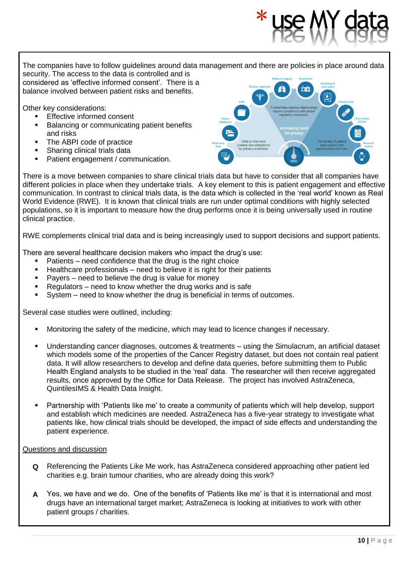The companies have to follow guidelines around data management and there are policies in place around data

security. The access to the data is controlled and is considered as 'effective informed consent'. There is a balance involved between patient risks and benefits.

Other key considerations:

- **Effective informed consent**
- Balancing or communicating patient benefits and risks
- The ABPI code of practice
- Sharing clinical trials data
- Patient engagement / communication.

There is a move between companies to share clinical trials data but have to consider that all companies have different policies in place when they undertake trials. A key element to this is patient engagement and effective communication. In contrast to clinical trials data, is the data which is collected in the 'real world' known as Real World Evidence (RWE). It is known that clinical trials are run under optimal conditions with highly selected populations, so it is important to measure how the drug performs once it is being universally used in routine clinical practice.

RWE complements clinical trial data and is being increasingly used to support decisions and support patients.

There are several healthcare decision makers who impact the drug's use:

- Patients need confidence that the drug is the right choice
- Healthcare professionals need to believe it is right for their patients
- Payers need to believe the drug is value for money
- Regulators need to know whether the drug works and is safe
- System need to know whether the drug is beneficial in terms of outcomes.

Several case studies were outlined, including:

- Monitoring the safety of the medicine, which may lead to licence changes if necessary.
- Understanding cancer diagnoses, outcomes & treatments using the Simulacrum, an artificial dataset which models some of the properties of the Cancer Registry dataset, but does not contain real patient data. It will allow researchers to develop and define data queries, before submitting them to Public Health England analysts to be studied in the 'real' data. The researcher will then receive aggregated results, once approved by the Office for Data Release. The project has involved AstraZeneca, QuintilesIMS & Health Data Insight.
- Partnership with 'Patients like me' to create a community of patients which will help develop, support and establish which medicines are needed. AstraZeneca has a five-year strategy to investigate what patients like, how clinical trials should be developed, the impact of side effects and understanding the patient experience.

- **Q** Referencing the Patients Like Me work, has AstraZeneca considered approaching other patient led charities e.g. brain tumour charities, who are already doing this work?
- **A** Yes, we have and we do. One of the benefits of 'Patients like me' is that it is international and most drugs have an international target market; AstraZeneca is looking at initiatives to work with other patient groups / charities.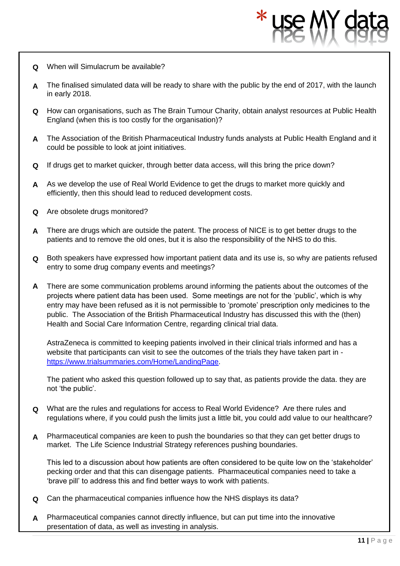- **Q** When will Simulacrum be available?
- **A** The finalised simulated data will be ready to share with the public by the end of 2017, with the launch in early 2018.
- **Q** How can organisations, such as The Brain Tumour Charity, obtain analyst resources at Public Health England (when this is too costly for the organisation)?
- **A** The Association of the British Pharmaceutical Industry funds analysts at Public Health England and it could be possible to look at joint initiatives.
- **Q** If drugs get to market quicker, through better data access, will this bring the price down?
- **A** As we develop the use of Real World Evidence to get the drugs to market more quickly and efficiently, then this should lead to reduced development costs.
- **Q** Are obsolete drugs monitored?
- **A** There are drugs which are outside the patent. The process of NICE is to get better drugs to the patients and to remove the old ones, but it is also the responsibility of the NHS to do this.
- **Q** Both speakers have expressed how important patient data and its use is, so why are patients refused entry to some drug company events and meetings?
- **A** There are some communication problems around informing the patients about the outcomes of the projects where patient data has been used. Some meetings are not for the 'public', which is why entry may have been refused as it is not permissible to 'promote' prescription only medicines to the public. The Association of the British Pharmaceutical Industry has discussed this with the (then) Health and Social Care Information Centre, regarding clinical trial data.

AstraZeneca is committed to keeping patients involved in their clinical trials informed and has a website that participants can visit to see the outcomes of the trials they have taken part in [https://www.trialsummaries.com/Home/LandingPage.](https://www.trialsummaries.com/Home/LandingPage)

The patient who asked this question followed up to say that, as patients provide the data. they are not 'the public'.

- **Q** What are the rules and regulations for access to Real World Evidence? Are there rules and regulations where, if you could push the limits just a little bit, you could add value to our healthcare?
- **A** Pharmaceutical companies are keen to push the boundaries so that they can get better drugs to market. The Life Science Industrial Strategy references pushing boundaries.

This led to a discussion about how patients are often considered to be quite low on the 'stakeholder' pecking order and that this can disengage patients. Pharmaceutical companies need to take a 'brave pill' to address this and find better ways to work with patients.

- **Q** Can the pharmaceutical companies influence how the NHS displays its data?
- **A** Pharmaceutical companies cannot directly influence, but can put time into the innovative presentation of data, as well as investing in analysis.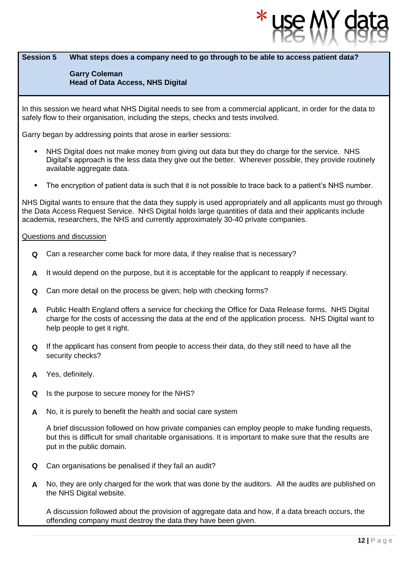#### **Session 5 What steps does a company need to go through to be able to access patient data?**

#### **Garry Coleman Head of Data Access, NHS Digital**

In this session we heard what NHS Digital needs to see from a commercial applicant, in order for the data to safely flow to their organisation, including the steps, checks and tests involved.

Garry began by addressing points that arose in earlier sessions:

- NHS Digital does not make money from giving out data but they do charge for the service. NHS Digital's approach is the less data they give out the better. Wherever possible, they provide routinely available aggregate data.
- The encryption of patient data is such that it is not possible to trace back to a patient's NHS number.

NHS Digital wants to ensure that the data they supply is used appropriately and all applicants must go through the Data Access Request Service. NHS Digital holds large quantities of data and their applicants include academia, researchers, the NHS and currently approximately 30-40 private companies.

#### Questions and discussion

- **Q** Can a researcher come back for more data, if they realise that is necessary?
- **A** It would depend on the purpose, but it is acceptable for the applicant to reapply if necessary.
- **Q** Can more detail on the process be given; help with checking forms?
- **A** Public Health England offers a service for checking the Office for Data Release forms. NHS Digital charge for the costs of accessing the data at the end of the application process. NHS Digital want to help people to get it right.
- **Q** If the applicant has consent from people to access their data, do they still need to have all the security checks?
- **A** Yes, definitely.
- **Q** Is the purpose to secure money for the NHS?
- **A** No, it is purely to benefit the health and social care system

A brief discussion followed on how private companies can employ people to make funding requests, but this is difficult for small charitable organisations. It is important to make sure that the results are put in the public domain.

- **Q** Can organisations be penalised if they fail an audit?
- **A** No, they are only charged for the work that was done by the auditors. All the audits are published on the NHS Digital website.

A discussion followed about the provision of aggregate data and how, if a data breach occurs, the offending company must destroy the data they have been given.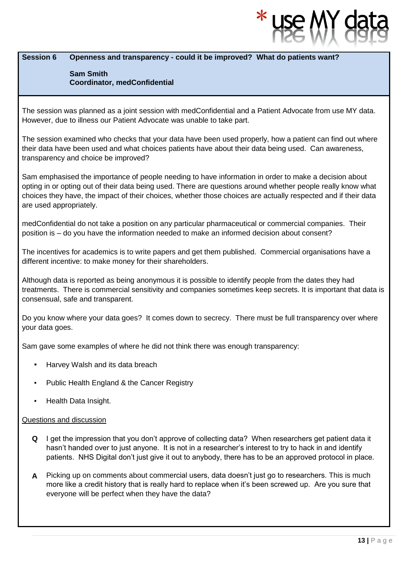#### **Session 6 Openness and transparency - could it be improved? What do patients want?**

#### **Sam Smith Coordinator, medConfidential**

The session was planned as a joint session with medConfidential and a Patient Advocate from use MY data. However, due to illness our Patient Advocate was unable to take part.

The session examined who checks that your data have been used properly, how a patient can find out where their data have been used and what choices patients have about their data being used. Can awareness, transparency and choice be improved?

Sam emphasised the importance of people needing to have information in order to make a decision about opting in or opting out of their data being used. There are questions around whether people really know what choices they have, the impact of their choices, whether those choices are actually respected and if their data are used appropriately.

medConfidential do not take a position on any particular pharmaceutical or commercial companies. Their position is – do you have the information needed to make an informed decision about consent?

The incentives for academics is to write papers and get them published. Commercial organisations have a different incentive: to make money for their shareholders.

Although data is reported as being anonymous it is possible to identify people from the dates they had treatments. There is commercial sensitivity and companies sometimes keep secrets. It is important that data is consensual, safe and transparent.

Do you know where your data goes? It comes down to secrecy. There must be full transparency over where your data goes.

Sam gave some examples of where he did not think there was enough transparency:

- Harvey Walsh and its data breach
- **Public Health England & the Cancer Registry**
- **Health Data Insight.**

- **Q** I get the impression that you don't approve of collecting data? When researchers get patient data it hasn't handed over to just anyone. It is not in a researcher's interest to try to hack in and identify patients. NHS Digital don't just give it out to anybody, there has to be an approved protocol in place.
- **A** Picking up on comments about commercial users, data doesn't just go to researchers. This is much more like a credit history that is really hard to replace when it's been screwed up. Are you sure that everyone will be perfect when they have the data?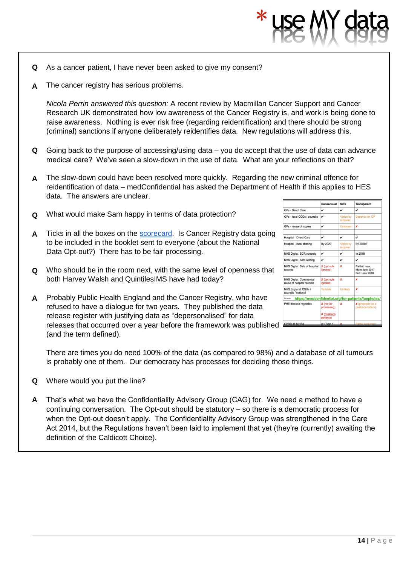- **Q** As a cancer patient, I have never been asked to give my consent?
- **A** The cancer registry has serious problems.

*Nicola Perrin answered this question:* A recent review by Macmillan Cancer Support and Cancer Research UK demonstrated how low awareness of the Cancer Registry is, and work is being done to raise awareness. Nothing is ever risk free (regarding reidentification) and there should be strong (criminal) sanctions if anyone deliberately reidentifies data. New regulations will address this.

- **Q** Going back to the purpose of accessing/using data you do accept that the use of data can advance medical care? We've seen a slow-down in the use of data. What are your reflections on that?
- **A** The slow-down could have been resolved more quickly. Regarding the new criminal offence for reidentification of data – medConfidential has asked the Department of Health if this applies to HES data. The answers are unclear.
- **Q** What would make Sam happy in terms of data protection?
- **A** Ticks in all the boxes on the [scorecard.](http://medconfidential.org/for-patients/loopholes/) Is Cancer Registry data going to be included in the booklet sent to everyone (about the National Data Opt-out?) There has to be fair processing.
- **Q** Who should be in the room next, with the same level of openness that both Harvey Walsh and QuintilesIMS have had today?
- **A** Probably Public Health England and the Cancer Registry, who have refused to have a dialogue for two years. They published the data release register with justifying data as "depersonalised" for data releases that occurred over a year before the framework was published (and the term defined).

|                                                      | Consensual                       | Safe                   | <b>Transparent</b>                                    |
|------------------------------------------------------|----------------------------------|------------------------|-------------------------------------------------------|
| <b>GPs - Direct Care</b>                             | v                                | v                      | v                                                     |
| GPs - local CCGs / councils                          | v                                | Varies by<br>recipient | Depends on GP                                         |
| GPs - research copies                                | v                                | <b>Unknown</b>         | ×                                                     |
| <b>Hospital - Direct Care</b>                        | v                                | v                      | v                                                     |
| Hospital - local sharing                             | By 2020                          | Varies by<br>recipient | By 2020?                                              |
| <b>NHS Digital: SCR controls</b>                     | v                                | v                      | In 2018                                               |
| <b>NHS Digital: Safe Setting</b>                     | v                                | v                      | v                                                     |
| NHS Digital: Sale of hospital<br>records             | <b>X</b> (opt outs<br>ignored)   | x                      | Partial: now:<br>More: late 2017:<br>Full: Late 2018. |
| NHS Digital: Commercial<br>reuse of hospital records | <b>X</b> (opt outs<br>ignored)   | ×                      | ×                                                     |
| NHS England: CSUs /<br>councils / national           | Variable                         | <b>Unlikely</b>        | ×                                                     |
| DH family:                                           |                                  |                        | https://medconfidential.org/for-patients/loopholes/   |
| PHE disease registries                               | <b>x</b> (no fair<br>processing) | ×                      | <b>X</b> (proposed as a<br>postcode lottery)          |
|                                                      | <b>x</b> (misleads<br>patients)  |                        |                                                       |
| CPRD @ MHRA                                          | $V$ (Tyne 1)                     |                        | Partial (unknown:                                     |

There are times you do need 100% of the data (as compared to 98%) and a database of all tumours is probably one of them. Our democracy has processes for deciding those things.

- **Q** Where would you put the line?
- **A** That's what we have the Confidentiality Advisory Group (CAG) for. We need a method to have a continuing conversation. The Opt-out should be statutory – so there is a democratic process for when the Opt-out doesn't apply. The Confidentiality Advisory Group was strengthened in the Care Act 2014, but the Regulations haven't been laid to implement that yet (they're (currently) awaiting the definition of the Caldicott Choice).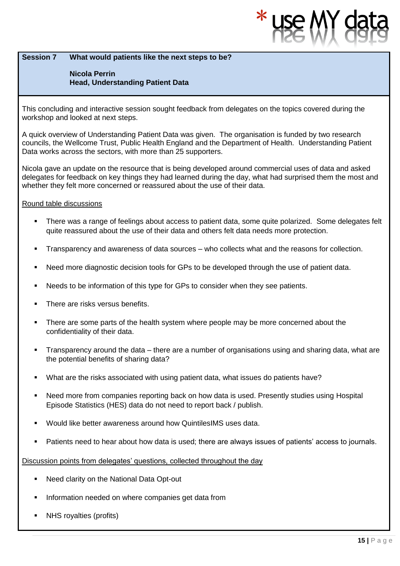#### **Session 7 What would patients like the next steps to be?**

#### **Nicola Perrin Head, Understanding Patient Data**

This concluding and interactive session sought feedback from delegates on the topics covered during the workshop and looked at next steps.

A quick overview of Understanding Patient Data was given. The organisation is funded by two research councils, the Wellcome Trust, Public Health England and the Department of Health. Understanding Patient Data works across the sectors, with more than 25 supporters.

Nicola gave an update on the resource that is being developed around commercial uses of data and asked delegates for feedback on key things they had learned during the day, what had surprised them the most and whether they felt more concerned or reassured about the use of their data.

#### Round table discussions

- There was a range of feelings about access to patient data, some quite polarized. Some delegates felt quite reassured about the use of their data and others felt data needs more protection.
- Transparency and awareness of data sources who collects what and the reasons for collection.
- Need more diagnostic decision tools for GPs to be developed through the use of patient data.
- Needs to be information of this type for GPs to consider when they see patients.
- There are risks versus benefits.
- There are some parts of the health system where people may be more concerned about the confidentiality of their data.
- Transparency around the data there are a number of organisations using and sharing data, what are the potential benefits of sharing data?
- What are the risks associated with using patient data, what issues do patients have?
- Need more from companies reporting back on how data is used. Presently studies using Hospital Episode Statistics (HES) data do not need to report back / publish.
- Would like better awareness around how QuintilesIMS uses data.
- Patients need to hear about how data is used; there are always issues of patients' access to journals.

Discussion points from delegates' questions, collected throughout the day

- Need clarity on the National Data Opt-out
- Information needed on where companies get data from
- NHS royalties (profits)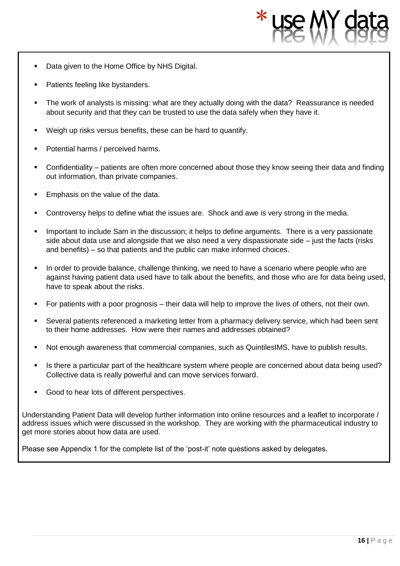- Data given to the Home Office by NHS Digital.
- Patients feeling like bystanders.
- The work of analysts is missing: what are they actually doing with the data? Reassurance is needed about security and that they can be trusted to use the data safely when they have it.
- Weigh up risks versus benefits, these can be hard to quantify.
- Potential harms / perceived harms.
- Confidentiality patients are often more concerned about those they know seeing their data and finding out information, than private companies.
- Emphasis on the value of the data.
- Controversy helps to define what the issues are. Shock and awe is very strong in the media.
- Important to include Sam in the discussion; it helps to define arguments. There is a very passionate side about data use and alongside that we also need a very dispassionate side – just the facts (risks and benefits) – so that patients and the public can make informed choices.
- In order to provide balance, challenge thinking, we need to have a scenario where people who are against having patient data used have to talk about the benefits, and those who are for data being used, have to speak about the risks.
- For patients with a poor prognosis their data will help to improve the lives of others, not their own.
- Several patients referenced a marketing letter from a pharmacy delivery service, which had been sent to their home addresses. How were their names and addresses obtained?
- Not enough awareness that commercial companies, such as QuintilesIMS, have to publish results.
- Is there a particular part of the healthcare system where people are concerned about data being used? Collective data is really powerful and can move services forward.
- Good to hear lots of different perspectives.

Understanding Patient Data will develop further information into online resources and a leaflet to incorporate / address issues which were discussed in the workshop. They are working with the pharmaceutical industry to get more stories about how data are used.

Please see Appendix 1 for the complete list of the 'post-it' note questions asked by delegates.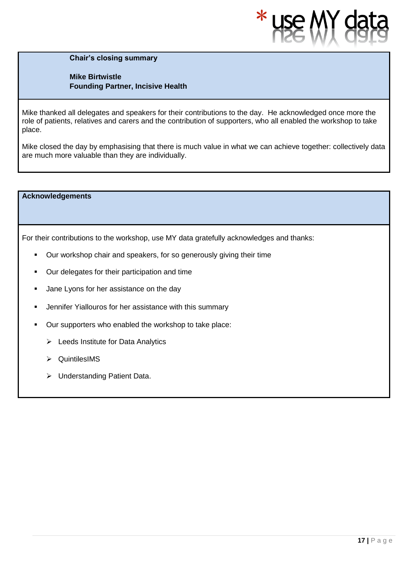

**Chair's closing summary** 

**Mike Birtwistle Founding Partner, Incisive Health**

Mike thanked all delegates and speakers for their contributions to the day. He acknowledged once more the role of patients, relatives and carers and the contribution of supporters, who all enabled the workshop to take place.

Mike closed the day by emphasising that there is much value in what we can achieve together: collectively data are much more valuable than they are individually.

**Acknowledgements** 

For their contributions to the workshop, use MY data gratefully acknowledges and thanks:

- Our workshop chair and speakers, for so generously giving their time
- Our delegates for their participation and time
- **■** Jane Lyons for her assistance on the day
- Jennifer Yiallouros for her assistance with this summary
- Our supporters who enabled the workshop to take place:
	- ➢ Leeds Institute for Data Analytics
	- ➢ QuintilesIMS
	- ➢ Understanding Patient Data.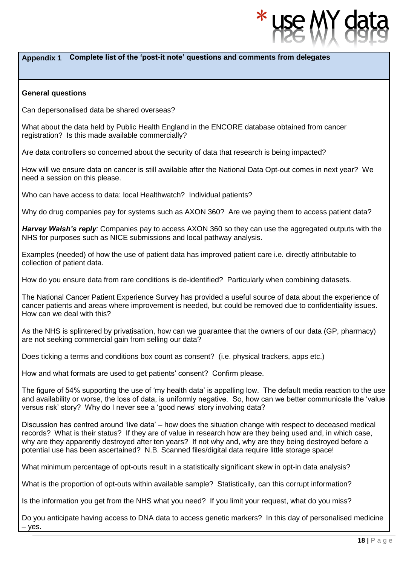### **Appendix 1 Complete list of the 'post-it note' questions and comments from delegates**

#### **General questions**

Can depersonalised data be shared overseas?

What about the data held by Public Health England in the ENCORE database obtained from cancer registration? Is this made available commercially?

Are data controllers so concerned about the security of data that research is being impacted?

How will we ensure data on cancer is still available after the National Data Opt-out comes in next year? We need a session on this please.

Who can have access to data: local Healthwatch? Individual patients?

Why do drug companies pay for systems such as AXON 360? Are we paying them to access patient data?

*Harvey Walsh's reply:* Companies pay to access AXON 360 so they can use the aggregated outputs with the NHS for purposes such as NICE submissions and local pathway analysis.

Examples (needed) of how the use of patient data has improved patient care i.e. directly attributable to collection of patient data.

How do you ensure data from rare conditions is de-identified? Particularly when combining datasets.

The National Cancer Patient Experience Survey has provided a useful source of data about the experience of cancer patients and areas where improvement is needed, but could be removed due to confidentiality issues. How can we deal with this?

As the NHS is splintered by privatisation, how can we guarantee that the owners of our data (GP, pharmacy) are not seeking commercial gain from selling our data?

Does ticking a terms and conditions box count as consent? (i.e. physical trackers, apps etc.)

How and what formats are used to get patients' consent? Confirm please.

The figure of 54% supporting the use of 'my health data' is appalling low. The default media reaction to the use and availability or worse, the loss of data, is uniformly negative. So, how can we better communicate the 'value versus risk' story? Why do I never see a 'good news' story involving data?

Discussion has centred around 'live data' – how does the situation change with respect to deceased medical records? What is their status? If they are of value in research how are they being used and, in which case, why are they apparently destroyed after ten years? If not why and, why are they being destroyed before a potential use has been ascertained? N.B. Scanned files/digital data require little storage space!

What minimum percentage of opt-outs result in a statistically significant skew in opt-in data analysis?

What is the proportion of opt-outs within available sample? Statistically, can this corrupt information?

Is the information you get from the NHS what you need? If you limit your request, what do you miss?

Do you anticipate having access to DNA data to access genetic markers? In this day of personalised medicine – yes.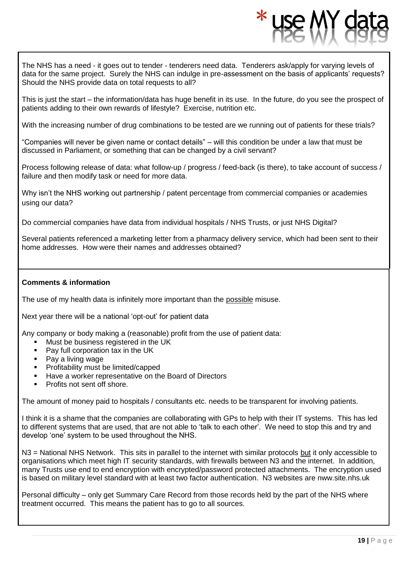The NHS has a need - it goes out to tender - tenderers need data. Tenderers ask/apply for varying levels of data for the same project. Surely the NHS can indulge in pre-assessment on the basis of applicants' requests? Should the NHS provide data on total requests to all?

This is just the start – the information/data has huge benefit in its use. In the future, do you see the prospect of patients adding to their own rewards of lifestyle? Exercise, nutrition etc.

With the increasing number of drug combinations to be tested are we running out of patients for these trials?

"Companies will never be given name or contact details" – will this condition be under a law that must be discussed in Parliament, or something that can be changed by a civil servant?

Process following release of data: what follow-up / progress / feed-back (is there), to take account of success / failure and then modify task or need for more data.

Why isn't the NHS working out partnership / patent percentage from commercial companies or academies using our data?

Do commercial companies have data from individual hospitals / NHS Trusts, or just NHS Digital?

Several patients referenced a marketing letter from a pharmacy delivery service, which had been sent to their home addresses. How were their names and addresses obtained?

#### **Comments & information**

The use of my health data is infinitely more important than the possible misuse.

Next year there will be a national 'opt-out' for patient data

Any company or body making a (reasonable) profit from the use of patient data:

- Must be business registered in the UK
- Pay full corporation tax in the UK
- Pay a living wage
- Profitability must be limited/capped
- Have a worker representative on the Board of Directors
- Profits not sent off shore.

The amount of money paid to hospitals / consultants etc. needs to be transparent for involving patients.

I think it is a shame that the companies are collaborating with GPs to help with their IT systems. This has led to different systems that are used, that are not able to 'talk to each other'. We need to stop this and try and develop 'one' system to be used throughout the NHS.

N3 = National NHS Network. This sits in parallel to the internet with similar protocols but it only accessible to organisations which meet high IT security standards, with firewalls between N3 and the internet. In addition, many Trusts use end to end encryption with encrypted/password protected attachments. The encryption used is based on military level standard with at least two factor authentication. N3 websites are nww.site.nhs.uk

Personal difficulty – only get Summary Care Record from those records held by the part of the NHS where treatment occurred. This means the patient has to go to all sources.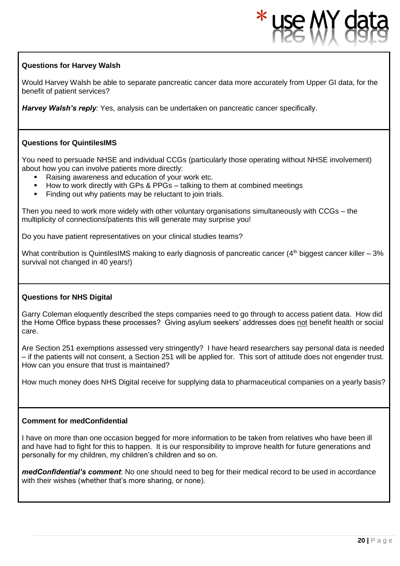#### **Questions for Harvey Walsh**

Would Harvey Walsh be able to separate pancreatic cancer data more accurately from Upper GI data, for the benefit of patient services?

*Harvey Walsh's reply:* Yes, analysis can be undertaken on pancreatic cancer specifically.

#### **Questions for QuintilesIMS**

You need to persuade NHSE and individual CCGs (particularly those operating without NHSE involvement) about how you can involve patients more directly:

- Raising awareness and education of your work etc.
- How to work directly with GPs & PPGs talking to them at combined meetings
- Finding out why patients may be reluctant to join trials.

Then you need to work more widely with other voluntary organisations simultaneously with CCGs – the multiplicity of connections/patients this will generate may surprise you!

Do you have patient representatives on your clinical studies teams?

What contribution is QuintilesIMS making to early diagnosis of pancreatic cancer ( $4<sup>th</sup>$  biggest cancer killer –  $3%$ survival not changed in 40 years!)

#### **Questions for NHS Digital**

Garry Coleman eloquently described the steps companies need to go through to access patient data. How did the Home Office bypass these processes? Giving asylum seekers' addresses does not benefit health or social care.

Are Section 251 exemptions assessed very stringently? I have heard researchers say personal data is needed – if the patients will not consent, a Section 251 will be applied for. This sort of attitude does not engender trust. How can you ensure that trust is maintained?

How much money does NHS Digital receive for supplying data to pharmaceutical companies on a yearly basis?

#### **Comment for medConfidential**

I have on more than one occasion begged for more information to be taken from relatives who have been ill and have had to fight for this to happen. It is our responsibility to improve health for future generations and personally for my children, my children's children and so on.

*medConfidential's comment*: No one should need to beg for their medical record to be used in accordance with their wishes (whether that's more sharing, or none).